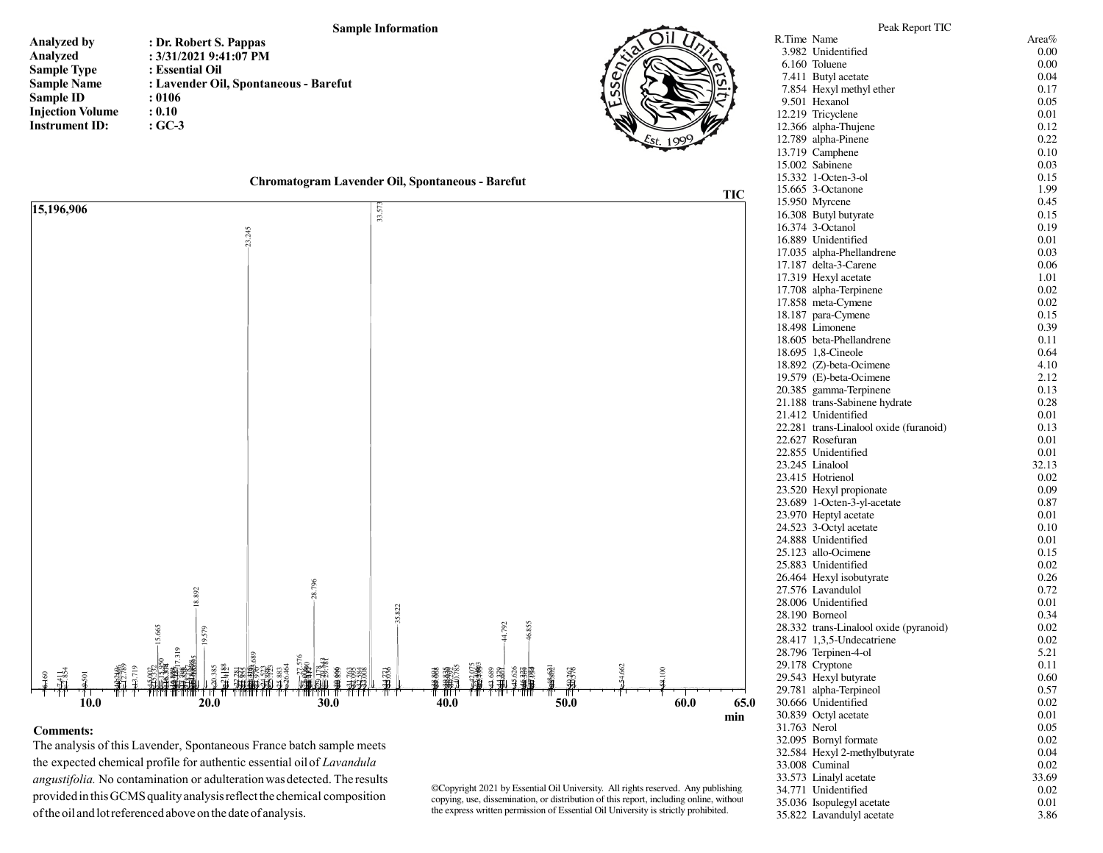## **Sample Information**

| <b>Analyzed by</b>      | : Dr. Robert S. Pappas                |
|-------------------------|---------------------------------------|
| Analyzed                | : 3/31/2021 9:41:07 PM                |
| <b>Sample Type</b>      | : Essential Oil                       |
| <b>Sample Name</b>      | : Lavender Oil, Spontaneous - Barefut |
| Sample ID               | : 0106                                |
| <b>Injection Volume</b> | : 0.10                                |
| <b>Instrument ID:</b>   | $:GC-3$                               |



| Chromatogram Lavender Oil, Spontaneous - Barefut |  |  |
|--------------------------------------------------|--|--|
|                                                  |  |  |



## **Comments:**

 The analysis of this Lavender, Spontaneous France batch sample meets the expected chemical profile for authentic essential oil of *Lavandula angustifolia.* No contamination or adulteration was detected. The results provided in this GCMS quality analysis reflect the chemical composition of the oil and lot referenced above on the date of analysis.

©Copyright 2021 by Essential Oil University. All rights reserved. Any publishing, copying, use, dissemination, or distribution of this report, including online, without the express written permission of Essential Oil University is strictly prohibited.

|              | 10.508 Butyl butyrate                  | U.IJ  |
|--------------|----------------------------------------|-------|
|              | 16.374 3-Octanol                       | 0.19  |
|              | 16.889 Unidentified                    | 0.01  |
|              | 17.035 alpha-Phellandrene              | 0.03  |
|              | 17.187 delta-3-Carene                  | 0.06  |
|              | 17.319 Hexyl acetate                   | 1.01  |
|              | 17.708 alpha-Terpinene                 | 0.02  |
|              | 17.858 meta-Cymene                     | 0.02  |
|              | 18.187 para-Cymene                     | 0.15  |
|              | 18.498 Limonene                        | 0.39  |
|              | 18.605 beta-Phellandrene               | 0.11  |
|              | 18.695 1,8-Cineole                     | 0.64  |
|              | 18.892 (Z)-beta-Ocimene                | 4.10  |
|              | 19.579 (E)-beta-Ocimene                | 2.12  |
|              | 20.385 gamma-Terpinene                 | 0.13  |
|              | 21.188 trans-Sabinene hydrate          | 0.28  |
|              | 21.412 Unidentified                    | 0.01  |
|              | 22.281 trans-Linalool oxide (furanoid) | 0.13  |
|              | 22.627 Rosefuran                       | 0.01  |
|              | 22.855 Unidentified                    | 0.01  |
|              | 23.245 Linalool                        | 32.13 |
|              | 23.415 Hotrienol                       | 0.02  |
|              | 23.520 Hexyl propionate                | 0.09  |
|              | 23.689 1-Octen-3-yl-acetate            | 0.87  |
|              | 23.970 Heptyl acetate                  | 0.01  |
|              | 24.523 3-Octyl acetate                 | 0.10  |
|              | 24.888 Unidentified                    | 0.01  |
|              | 25.123 allo-Ocimene                    | 0.15  |
|              | 25.883 Unidentified                    | 0.02  |
|              | 26.464 Hexyl isobutyrate               | 0.26  |
|              | 27.576 Lavandulol                      | 0.72  |
|              | 28.006 Unidentified                    | 0.01  |
|              | 28.190 Borneol                         | 0.34  |
|              | 28.332 trans-Linalool oxide (pyranoid) | 0.02  |
|              | 28.417 1,3,5-Undecatriene              | 0.02  |
|              | 28.796 Terpinen-4-ol                   | 5.21  |
|              | 29.178 Cryptone                        | 0.11  |
|              | 29.543 Hexyl butyrate                  | 0.60  |
|              | 29.781 alpha-Terpineol                 | 0.57  |
|              | 30.666 Unidentified                    | 0.02  |
|              | 30.839 Octyl acetate                   | 0.01  |
| 31.763 Nerol |                                        | 0.05  |
|              | 32.095 Bornyl formate                  | 0.02  |
|              | 32.584 Hexyl 2-methylbutyrate          | 0.04  |
|              | 33.008 Cuminal                         | 0.02  |
|              | 33.573 Linalyl acetate                 | 33.69 |
|              | 34.771 Unidentified                    | 0.02  |
|              | 35.036 Isopulegyl acetate              | 0.01  |
|              | 35.822 Lavandulyl acetate              | 3.86  |
|              |                                        |       |
|              |                                        |       |
|              |                                        |       |

Peak Report TICR.Time Name Area%

3.982 Unidentified

7.411 Butyl acetate

7.854 Hexyl methyl ether

 $6.160$  Toluene

9.501 Hexanol

12.219 Tricyclene

13.719  $C$ amphene

 $15.002$  Sabinene

12.366 alpha-Thujene

12.789 alpha-Pinene

15.332 1-Octen-3-ol

 $0.00$ 

 $0.00$ 

0.04

0.17

0.05

0.01

0.12

0.22

0.10

 $0.03$ 

0.15

1.99

0.45